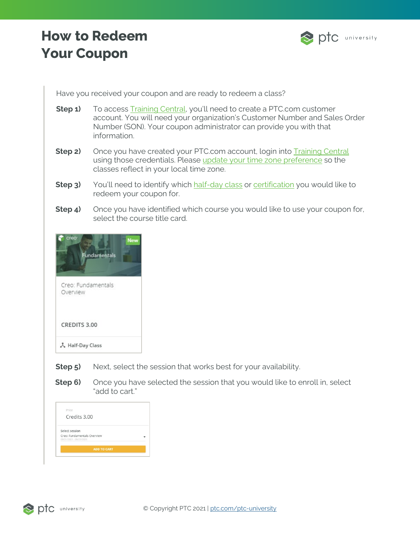## **How to Redeem Your Coupon**



Have you received your coupon and are ready to redeem a class?

- **Step 1)** To access **Training Central**, you'll need to create a PTC.com customer account. You will need your organization's Customer Number and Sales Order Number (SON). Your coupon administrator can provide you with that information.
- **Step 2)** Once you have created your PTC.com account, login into Training Central using those credentials. Please [update your time zone preference](https://www.ptc.com/-/media/ptc-university/help-documents/training-central/how-to-update-your-timezone.pdf) so the classes reflect in your local time zone.
- **Step 3)** You'll need to identify which [half-day class](https://trainingcentral.ptcu.com/learn/catalog/view/59) or [certification](https://www.ptc.com/en/ptc-university/certifications#ptcuCertificationOptions) you would like to redeem your coupon for.
- **Step 4)** Once you have identified which course you would like to use your coupon for, select the course title card.



- **Step 5)** Next, select the session that works best for your availability.
- **Step 6)** Once you have selected the session that you would like to enroll in, select "add to cart."

| Price                                                  |  |
|--------------------------------------------------------|--|
| Credits 3.00                                           |  |
| Select session                                         |  |
| Creo: Fundamentals Overview<br>09/21/2021 - 09/21/2021 |  |
| <b>ADD TO CART</b>                                     |  |

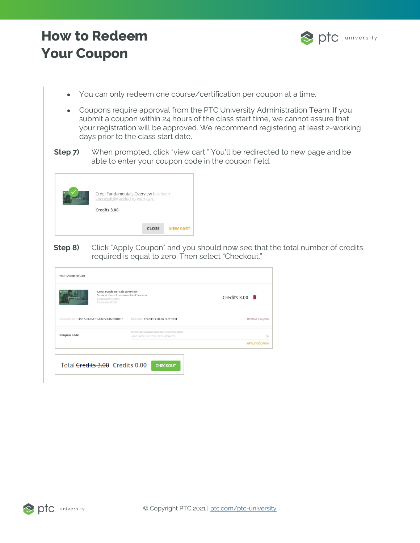## **How to Redeem Your Coupon**



- You can only redeem one course/certification per coupon at a time.
- Coupons require approval from the PTC University Administration Team. If you submit a coupon within 24 hours of the class start time, we cannot assure that your registration will be approved. We recommend registering at least 2-working days prior to the class start date.
- **Step 7)** When prompted, click "view cart." You'll be redirected to new page and be able to enter your coupon code in the coupon field.



**Step 8)** Click "Apply Coupon" and you should now see that the total number of credits required is equal to zero. Then select "Checkout."

| Language: English<br>Duration: 03:00       | Creo: Fundamentals Overview<br>Session: Creo: Fundamentals Overview            | Credits $3.00$      |
|--------------------------------------------|--------------------------------------------------------------------------------|---------------------|
| Coupon Code: 4567-9876-C01-T02-V3-TNEDHUTS | Discount: Credits 3.00 on cart total                                           | Remove Coupon       |
| <b>Coupon Code</b>                         | Insert your coupon code here and press Enter.<br>4567-9876-C01-T02-V3-TNEDHUTS |                     |
|                                            |                                                                                | <b>APPLY COUPON</b> |